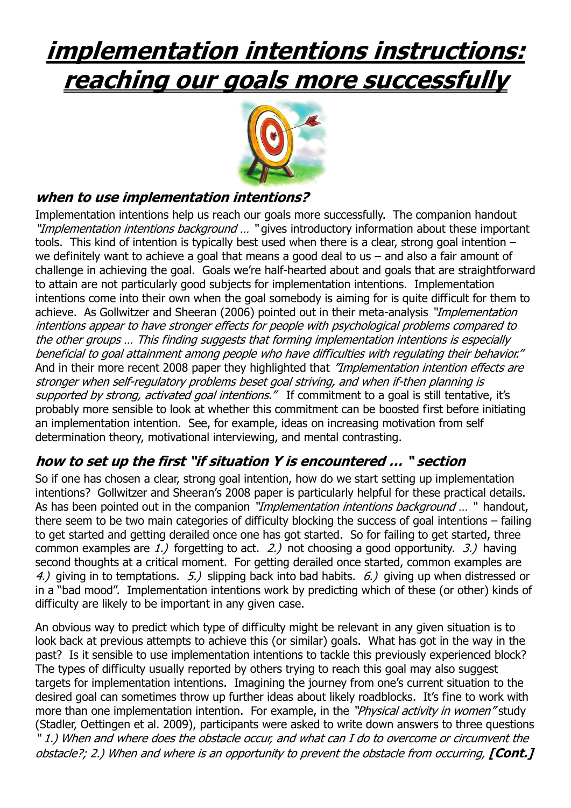# **implementation intentions instructions: reaching our goals more successfully**



#### **when to use implementation intentions?**

Implementation intentions help us reach our goals more successfully. The companion handout "Implementation intentions background ... "gives introductory information about these important tools. This kind of intention is typically best used when there is a clear, strong goal intention – we definitely want to achieve a goal that means a good deal to us – and also a fair amount of challenge in achieving the goal. Goals we're half-hearted about and goals that are straightforward to attain are not particularly good subjects for implementation intentions. Implementation intentions come into their own when the goal somebody is aiming for is quite difficult for them to achieve. As Gollwitzer and Sheeran (2006) pointed out in their meta-analysis "Implementation intentions appear to have stronger effects for people with psychological problems compared to the other groups … This finding suggests that forming implementation intentions is especially beneficial to goal attainment among people who have difficulties with regulating their behavior." And in their more recent 2008 paper they highlighted that *"Implementation intention effects are* stronger when self-regulatory problems beset goal striving, and when if-then planning is supported by strong, activated goal intentions." If commitment to a goal is still tentative, it's probably more sensible to look at whether this commitment can be boosted first before initiating an implementation intention. See, for example, ideas on increasing motivation from self determination theory, motivational interviewing, and mental contrasting.

### **how to set up the first "if situation Y is encountered … " section**

So if one has chosen a clear, strong goal intention, how do we start setting up implementation intentions? Gollwitzer and Sheeran's 2008 paper is particularly helpful for these practical details. As has been pointed out in the companion "Implementation intentions background ... " handout, there seem to be two main categories of difficulty blocking the success of goal intentions – failing to get started and getting derailed once one has got started. So for failing to get started, three common examples are  $1.$ ) forgetting to act.  $2.$ ) not choosing a good opportunity.  $3.$ ) having second thoughts at a critical moment. For getting derailed once started, common examples are 4.) giving in to temptations. 5.) slipping back into bad habits. 6.) giving up when distressed or in a "bad mood". Implementation intentions work by predicting which of these (or other) kinds of difficulty are likely to be important in any given case.

An obvious way to predict which type of difficulty might be relevant in any given situation is to look back at previous attempts to achieve this (or similar) goals. What has got in the way in the past? Is it sensible to use implementation intentions to tackle this previously experienced block? The types of difficulty usually reported by others trying to reach this goal may also suggest targets for implementation intentions. Imagining the journey from one's current situation to the desired goal can sometimes throw up further ideas about likely roadblocks. It's fine to work with more than one implementation intention. For example, in the "*Physical activity in women*" study (Stadler, Oettingen et al. 2009), participants were asked to write down answers to three questions 1.) When and where does the obstacle occur, and what can I do to overcome or circumvent the obstacle?; 2.) When and where is an opportunity to prevent the obstacle from occurring, **[Cont.]**